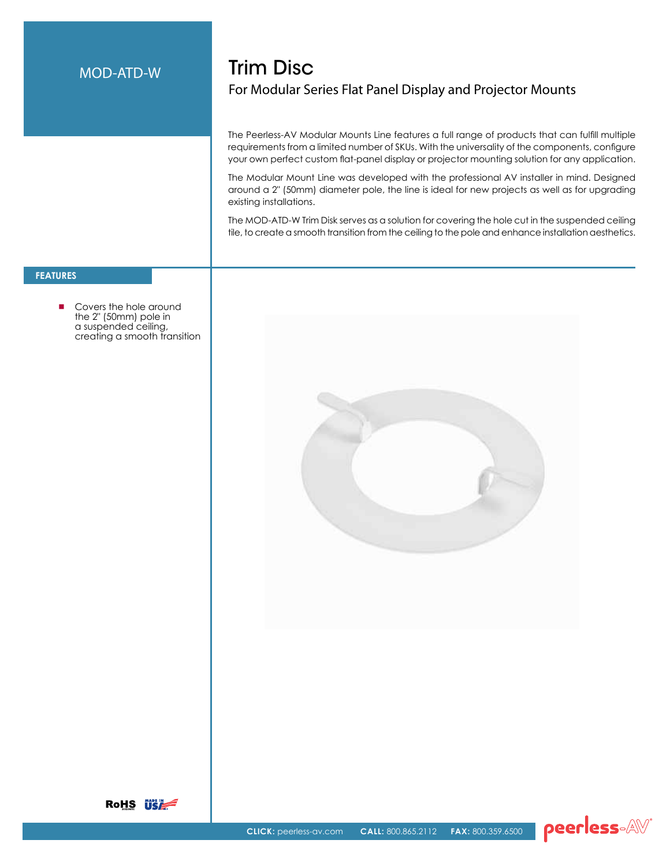## MOD-ATD-W

# Trim Disc For Modular Series Flat Panel Display and Projector Mounts

The Peerless-AV Modular Mounts Line features a full range of products that can fulfill multiple requirements from a limited number of SKUs. With the universality of the components, configure your own perfect custom flat-panel display or projector mounting solution for any application.

The Modular Mount Line was developed with the professional AV installer in mind. Designed around a 2" (50mm) diameter pole, the line is ideal for new projects as well as for upgrading existing installations.

The MOD-ATD-W Trim Disk serves as a solution for covering the hole cut in the suspended ceiling tile, to create a smooth transition from the ceiling to the pole and enhance installation aesthetics.

### **FeatureS**

 Covers the hole around the 2" (50mm) pole in a suspended ceiling, creating a smooth transition





peerless-AV